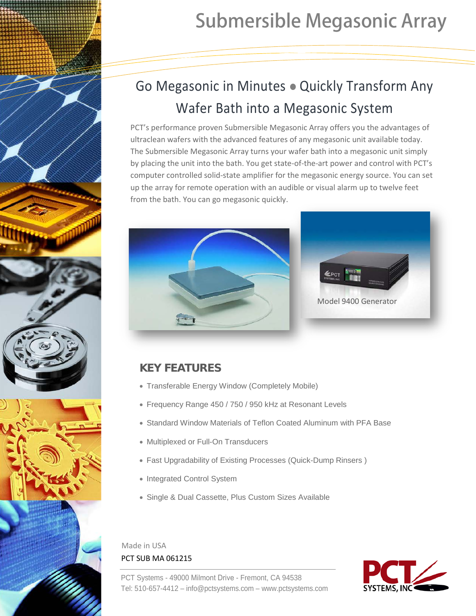

# Submersible Megasonic Array

## Go Megasonic in Minutes • Quickly Transform Any Wafer Bath into a Megasonic System

PCT's performance proven Submersible Megasonic Array offers you the advantages of ultraclean wafers with the advanced features of any megasonic unit available today. The Submersible Megasonic Array turns your wafer bath into a megasonic unit simply by placing the unit into the bath. You get state-of-the-art power and control with PCT's computer controlled solid-state amplifier for the megasonic energy source. You can set up the array for remote operation with an audible or visual alarm up to twelve feet from the bath. You can go megasonic quickly.





### **KEY FEATURES**

- Transferable Energy Window (Completely Mobile)
- Frequency Range 450 / 750 / 950 kHz at Resonant Levels
- Standard Window Materials of Teflon Coated Aluminum with PFA Base
- Multiplexed or Full-On Transducers
- Fast Upgradability of Existing Processes (Quick-Dump Rinsers )
- Integrated Control System
- Single & Dual Cassette, Plus Custom Sizes Available

Made in USA PCT SUB MA 061215

PCT Systems - 49000 Milmont Drive - Fremont, CA 94538 Tel: 510-657-4412 [– info@pctsystems.com](mailto:info@pctsystems.com) – www.pctsystems.com